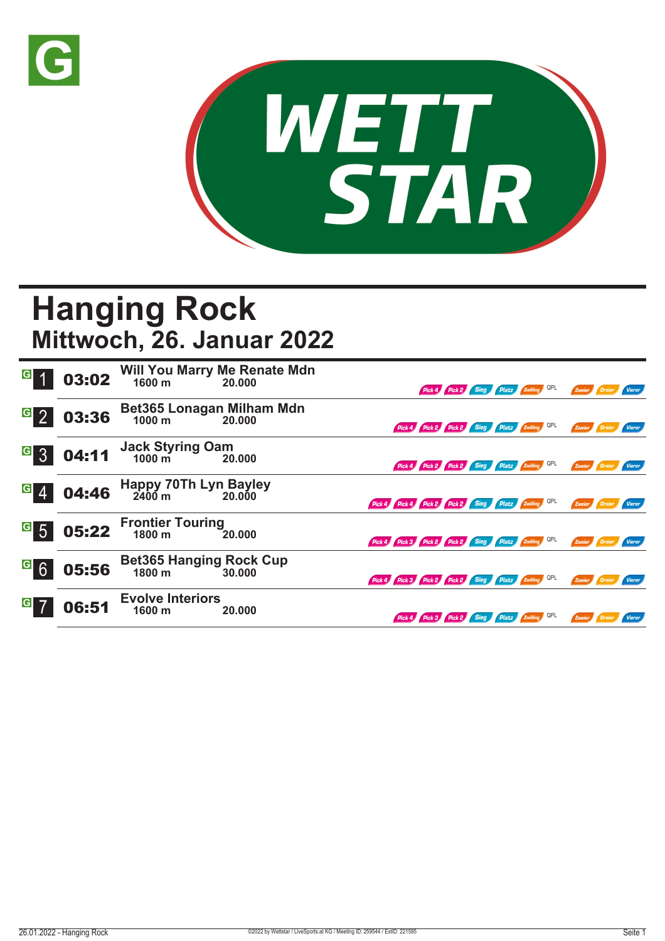



## **Hanging Rock Mittwoch, 26. Januar 2022**

| $\overline{G}$   | 03:02 |                                                 | Will You Marry Me Renate Mdn<br>1600 m 20.000 |                                                     |  | Pick 4 Pick 2 Sieg Platz Zwilling QPL        | Zweier <b>Dreier</b> |               | Vierer        |
|------------------|-------|-------------------------------------------------|-----------------------------------------------|-----------------------------------------------------|--|----------------------------------------------|----------------------|---------------|---------------|
| G <sub>2</sub>   | 03:36 | Bet365 Lonagan Milham Mdn<br>1000 m<br>20.000   |                                               |                                                     |  | Pick 4 Pick 2 Pick 2 Sieg Platz Zwilling QPL | Zweier Dreier        |               | Vierer        |
| G 3              | 04:11 | Jack Styring Oam<br>1000 m 20                   | 20,000                                        |                                                     |  | Pick 4 Pick 2 Pick 2 Sieg Platz Zwilling QPL | Zweier Dreier        |               | <b>Vierer</b> |
| $G \, 4$         | 04:46 | Happy 70Th Lyn Bayley<br>2400 m 20.000          |                                               | Pick 4 Pick 4 Pick 2 Pick 2 Sieg Platz Zwilling QPL |  |                                              | Zweier               |               |               |
| $\overline{G}$ 5 | 05:22 | <b>Frontier Touring<br/>1800 m</b> 2            | 20.000                                        | Pick 4 Pick 3 Pick 2 Pick 2 Sieg Platz Zwilling QPL |  |                                              | Zweier               | Dreier        | Vierer        |
| $G$ 6            | 05:56 | <b>Bet365 Hanging Rock Cup</b><br>1800 m 30.000 |                                               | Pick 4 Pick 3 Pick 2 Pick 2 Sieg Platz Zwilling QPL |  |                                              |                      | Zweier Dreier | <b>Vierer</b> |
| $\vert G \vert$  | 06:51 | <b>Evolve Interiors</b><br>1600 m               | 20.000                                        |                                                     |  | Pick 4 Pick 3 Pick 2 Sieg Platz Zwilling QPL | Zweier Dreier        |               | Vierer        |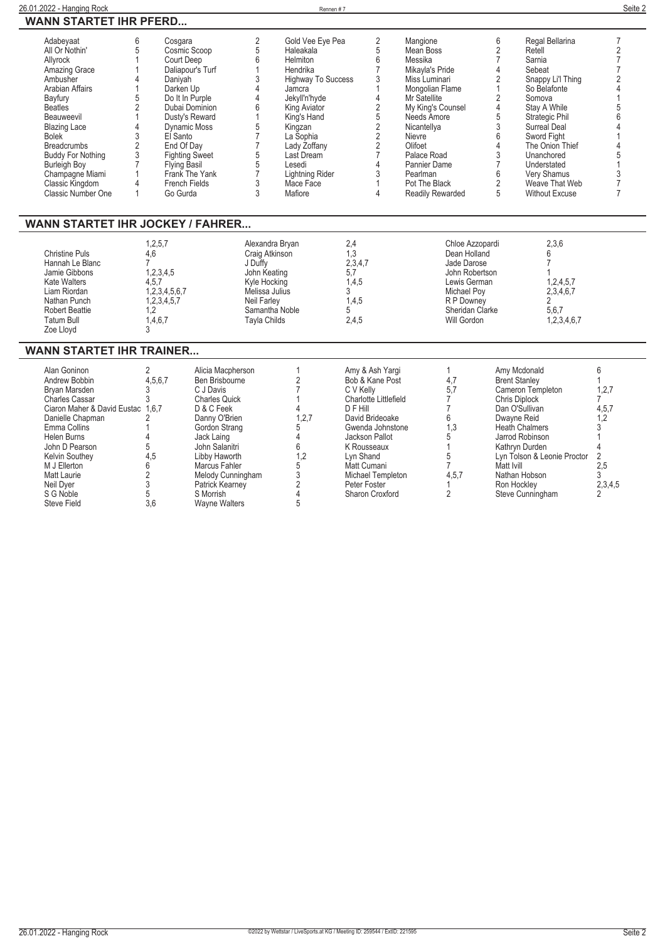| $\overline{2}$<br>$\overline{2}$<br>6<br>Adabeyaat<br>6<br>Cosgara<br>Gold Vee Eye Pea<br>Mangione<br>Regal Bellarina<br>7<br>$\overline{5}$<br>5<br>$\overline{2}$<br>$\overline{2}$<br>All Or Nothin'<br>5<br>Cosmic Scoop<br>Mean Boss<br>Haleakala<br>Retell<br>$6\phantom{1}6$<br>$6\,$<br>$\overline{7}$<br>Court Deep<br>Helmiton<br>Messika<br>Sarnia<br>$\overline{7}$<br>Allyrock<br>$\overline{7}$<br>$\overline{1}$<br>4<br>Amazing Grace<br>Daliapour's Turf<br>Hendrika<br>Mikayla's Pride<br>Sebeat<br>3<br>3<br>$\overline{2}$<br>$\overline{2}$<br>Ambusher<br><b>Highway To Success</b><br>Daniyah<br>Miss Luminari<br>Snappy Li'l Thing<br>$\overline{4}$<br>$\mathbf{1}$<br><b>Arabian Affairs</b><br>1<br>So Belafonte<br>$\Lambda$<br>Darken Up<br>Jamcra<br>Mongolian Flame<br>$\overline{4}$<br>$\overline{\mathcal{L}}$<br>$\overline{2}$<br>5<br>Do It In Purple<br>Jekyll'n'hyde<br>Mr Satellite<br>Somova<br>Bayfury<br>$\overline{2}$<br>$\overline{2}$<br>6<br>$\overline{4}$<br>My King's Counsel<br><b>Beatles</b><br>Dubai Dominion<br>King Aviator<br>Stay A While<br>$\overline{5}$<br>$\overline{1}$<br>Needs Amore<br>5<br>Dusty's Reward<br>King's Hand<br>Strategic Phil<br><b>Beauweevil</b><br>$\begin{array}{c} 2 \\ 2 \\ 2 \end{array}$<br>$\frac{3}{6}$<br>$\frac{5}{7}$<br><b>Dynamic Moss</b><br><b>Surreal Deal</b><br><b>Blazing Lace</b><br>Kingzan<br>Nicantellya<br>3<br>El Santo<br>La Sophia<br>Sword Fight<br><b>Bolek</b><br>Nievre<br>$\overline{7}$<br>$\overline{2}$<br>$\overline{4}$<br>Olifoet<br>The Onion Thief<br>End Of Day<br>Lady Zoffany<br><b>Breadcrumbs</b><br>$\sqrt{5}$<br>$\overline{7}$<br>3<br>3<br>Palace Road<br><b>Buddy For Nothing</b><br><b>Fighting Sweet</b><br>Last Dream<br>Unanchored<br>5<br>$\overline{4}$<br>$\overline{7}$<br><b>Flying Basil</b><br>Lesedi<br><b>Burleigh Boy</b><br>Pannier Dame<br>Understated<br>$\overline{7}$<br>3<br>6<br>3<br>Champagne Miami<br>Frank The Yank<br><b>Lightning Rider</b><br>Pearlman<br>Very Shamus<br>3<br>$\overline{2}$<br>$\mathbf{1}$<br>Weave That Web<br>$\overline{7}$<br>Classic Kingdom<br>4<br><b>French Fields</b><br>Mace Face<br>Pot The Black<br>3<br>5<br>Mafiore<br>$\overline{4}$<br>$\overline{7}$<br>Classic Number One<br>Go Gurda<br><b>Without Excuse</b><br>$\mathbf{1}$<br><b>Readily Rewarded</b><br><b>WANN STARTET IHR JOCKEY / FAHRER</b><br>2,3,6<br>Alexandra Bryan<br>2,4<br>Chloe Azzopardi<br>1,2,5,7<br><b>Christine Puls</b><br>4,6<br>1.3<br>Dean Holland<br>Craig Atkinson<br>6<br>2,3,4,7<br>$\overline{7}$<br>7<br>J Duffy<br>Jade Darose<br>Hannah Le Blanc<br>1,2,3,4,5<br>John Keating<br>5.7<br>John Robertson<br>Jamie Gibbons<br>1,2,4,5,7<br><b>Kate Walters</b><br>4,5,7<br>Kyle Hocking<br>1,4,5<br>Lewis German<br>1,2,3,4,5,6,7<br>3<br>2,3,4,6,7<br>Liam Riordan<br>Melissa Julius<br>Michael Poy<br>$\overline{2}$<br>1,2,3,4,5,7<br>1,4,5<br>R P Downey<br>Nathan Punch<br><b>Neil Farley</b><br>1.2<br>Samantha Noble<br>Sheridan Clarke<br>5.6.7<br><b>Robert Beattie</b><br>5<br>1,4,6,7<br><b>Tayla Childs</b><br>2.4.5<br>Will Gordon<br>1,2,3,4,6,7<br><b>Tatum Bull</b><br>Zoe Lloyd<br>3<br><b>WANN STARTET IHR TRAINER</b><br>2<br>6<br>Alan Goninon<br>Alicia Macpherson<br>Amy & Ash Yargi<br>Amy Mcdonald<br>1<br>1<br>$\overline{2}$<br>4.5.6.7<br>4,7<br>1<br>Ben Brisbourne<br>Bob & Kane Post<br><b>Brent Stanley</b><br>Andrew Bobbin<br>$\overline{7}$<br>5,7<br>1,2,7<br>3<br>C J Davis<br>Cameron Templeton<br>Bryan Marsden<br>C V Kelly<br>3<br>Charlotte Littlefield<br>$\overline{7}$<br><b>Charles Cassar</b><br><b>Charles Quick</b><br>$\mathbf{1}$<br>Chris Diplock<br>$\overline{7}$<br>Ciaron Maher & David Eustac 1.6.7<br>D & C Feek<br>$\overline{4}$<br>D F Hill<br>$\overline{7}$<br>Dan O'Sullivan<br>4,5,7<br>6<br>Danielle Chapman<br>Danny O'Brien<br>1,2,7<br>David Brideoake<br>1,2<br>2<br>Dwayne Reid<br>1,3<br>3<br>Emma Collins<br>Gordon Strang<br>5<br>Heath Chalmers<br>Gwenda Johnstone<br>5<br>4<br>Helen Burns<br>Jack Laing<br>Jackson Pallot<br>Jarrod Robinson<br>John Salanitri<br>$\overline{1}$<br>5<br>6<br>Kathryn Durden<br>John D Pearson<br>K Rousseaux<br>5<br>4,5<br>Libby Haworth<br>1.2<br>Lyn Shand<br>Lyn Tolson & Leonie Proctor<br>2<br>Kelvin Southey<br>$\overline{7}$<br>M J Ellerton<br>6<br>5<br>2.5<br>Marcus Fahler<br>Matt Cumani<br>Matt Ivill |  |  |  |  |  |  |  |
|-------------------------------------------------------------------------------------------------------------------------------------------------------------------------------------------------------------------------------------------------------------------------------------------------------------------------------------------------------------------------------------------------------------------------------------------------------------------------------------------------------------------------------------------------------------------------------------------------------------------------------------------------------------------------------------------------------------------------------------------------------------------------------------------------------------------------------------------------------------------------------------------------------------------------------------------------------------------------------------------------------------------------------------------------------------------------------------------------------------------------------------------------------------------------------------------------------------------------------------------------------------------------------------------------------------------------------------------------------------------------------------------------------------------------------------------------------------------------------------------------------------------------------------------------------------------------------------------------------------------------------------------------------------------------------------------------------------------------------------------------------------------------------------------------------------------------------------------------------------------------------------------------------------------------------------------------------------------------------------------------------------------------------------------------------------------------------------------------------------------------------------------------------------------------------------------------------------------------------------------------------------------------------------------------------------------------------------------------------------------------------------------------------------------------------------------------------------------------------------------------------------------------------------------------------------------------------------------------------------------------------------------------------------------------------------------------------------------------------------------------------------------------------------------------------------------------------------------------------------------------------------------------------------------------------------------------------------------------------------------------------------------------------------------------------------------------------------------------------------------------------------------------------------------------------------------------------------------------------------------------------------------------------------------------------------------------------------------------------------------------------------------------------------------------------------------------------------------------------------------------------------------------------------------------------------------------------------------------------------------------------------------------------------------------------------------------------------------------------------------------------------------------------------------------------------------------------------------------------------------------------------------------------------------------------------------------------------------------------------------------------------------------------------------------------------------------------------------------------------------------------------------------------------------------------------------------------------------------------------------------------------------------------------------------------------------------------------------------------------------------------------------------------------------------|--|--|--|--|--|--|--|
|                                                                                                                                                                                                                                                                                                                                                                                                                                                                                                                                                                                                                                                                                                                                                                                                                                                                                                                                                                                                                                                                                                                                                                                                                                                                                                                                                                                                                                                                                                                                                                                                                                                                                                                                                                                                                                                                                                                                                                                                                                                                                                                                                                                                                                                                                                                                                                                                                                                                                                                                                                                                                                                                                                                                                                                                                                                                                                                                                                                                                                                                                                                                                                                                                                                                                                                                                                                                                                                                                                                                                                                                                                                                                                                                                                                                                                                                                                                                                                                                                                                                                                                                                                                                                                                                                                                                                                                                                         |  |  |  |  |  |  |  |
|                                                                                                                                                                                                                                                                                                                                                                                                                                                                                                                                                                                                                                                                                                                                                                                                                                                                                                                                                                                                                                                                                                                                                                                                                                                                                                                                                                                                                                                                                                                                                                                                                                                                                                                                                                                                                                                                                                                                                                                                                                                                                                                                                                                                                                                                                                                                                                                                                                                                                                                                                                                                                                                                                                                                                                                                                                                                                                                                                                                                                                                                                                                                                                                                                                                                                                                                                                                                                                                                                                                                                                                                                                                                                                                                                                                                                                                                                                                                                                                                                                                                                                                                                                                                                                                                                                                                                                                                                         |  |  |  |  |  |  |  |
|                                                                                                                                                                                                                                                                                                                                                                                                                                                                                                                                                                                                                                                                                                                                                                                                                                                                                                                                                                                                                                                                                                                                                                                                                                                                                                                                                                                                                                                                                                                                                                                                                                                                                                                                                                                                                                                                                                                                                                                                                                                                                                                                                                                                                                                                                                                                                                                                                                                                                                                                                                                                                                                                                                                                                                                                                                                                                                                                                                                                                                                                                                                                                                                                                                                                                                                                                                                                                                                                                                                                                                                                                                                                                                                                                                                                                                                                                                                                                                                                                                                                                                                                                                                                                                                                                                                                                                                                                         |  |  |  |  |  |  |  |
|                                                                                                                                                                                                                                                                                                                                                                                                                                                                                                                                                                                                                                                                                                                                                                                                                                                                                                                                                                                                                                                                                                                                                                                                                                                                                                                                                                                                                                                                                                                                                                                                                                                                                                                                                                                                                                                                                                                                                                                                                                                                                                                                                                                                                                                                                                                                                                                                                                                                                                                                                                                                                                                                                                                                                                                                                                                                                                                                                                                                                                                                                                                                                                                                                                                                                                                                                                                                                                                                                                                                                                                                                                                                                                                                                                                                                                                                                                                                                                                                                                                                                                                                                                                                                                                                                                                                                                                                                         |  |  |  |  |  |  |  |
|                                                                                                                                                                                                                                                                                                                                                                                                                                                                                                                                                                                                                                                                                                                                                                                                                                                                                                                                                                                                                                                                                                                                                                                                                                                                                                                                                                                                                                                                                                                                                                                                                                                                                                                                                                                                                                                                                                                                                                                                                                                                                                                                                                                                                                                                                                                                                                                                                                                                                                                                                                                                                                                                                                                                                                                                                                                                                                                                                                                                                                                                                                                                                                                                                                                                                                                                                                                                                                                                                                                                                                                                                                                                                                                                                                                                                                                                                                                                                                                                                                                                                                                                                                                                                                                                                                                                                                                                                         |  |  |  |  |  |  |  |
|                                                                                                                                                                                                                                                                                                                                                                                                                                                                                                                                                                                                                                                                                                                                                                                                                                                                                                                                                                                                                                                                                                                                                                                                                                                                                                                                                                                                                                                                                                                                                                                                                                                                                                                                                                                                                                                                                                                                                                                                                                                                                                                                                                                                                                                                                                                                                                                                                                                                                                                                                                                                                                                                                                                                                                                                                                                                                                                                                                                                                                                                                                                                                                                                                                                                                                                                                                                                                                                                                                                                                                                                                                                                                                                                                                                                                                                                                                                                                                                                                                                                                                                                                                                                                                                                                                                                                                                                                         |  |  |  |  |  |  |  |
|                                                                                                                                                                                                                                                                                                                                                                                                                                                                                                                                                                                                                                                                                                                                                                                                                                                                                                                                                                                                                                                                                                                                                                                                                                                                                                                                                                                                                                                                                                                                                                                                                                                                                                                                                                                                                                                                                                                                                                                                                                                                                                                                                                                                                                                                                                                                                                                                                                                                                                                                                                                                                                                                                                                                                                                                                                                                                                                                                                                                                                                                                                                                                                                                                                                                                                                                                                                                                                                                                                                                                                                                                                                                                                                                                                                                                                                                                                                                                                                                                                                                                                                                                                                                                                                                                                                                                                                                                         |  |  |  |  |  |  |  |
|                                                                                                                                                                                                                                                                                                                                                                                                                                                                                                                                                                                                                                                                                                                                                                                                                                                                                                                                                                                                                                                                                                                                                                                                                                                                                                                                                                                                                                                                                                                                                                                                                                                                                                                                                                                                                                                                                                                                                                                                                                                                                                                                                                                                                                                                                                                                                                                                                                                                                                                                                                                                                                                                                                                                                                                                                                                                                                                                                                                                                                                                                                                                                                                                                                                                                                                                                                                                                                                                                                                                                                                                                                                                                                                                                                                                                                                                                                                                                                                                                                                                                                                                                                                                                                                                                                                                                                                                                         |  |  |  |  |  |  |  |
|                                                                                                                                                                                                                                                                                                                                                                                                                                                                                                                                                                                                                                                                                                                                                                                                                                                                                                                                                                                                                                                                                                                                                                                                                                                                                                                                                                                                                                                                                                                                                                                                                                                                                                                                                                                                                                                                                                                                                                                                                                                                                                                                                                                                                                                                                                                                                                                                                                                                                                                                                                                                                                                                                                                                                                                                                                                                                                                                                                                                                                                                                                                                                                                                                                                                                                                                                                                                                                                                                                                                                                                                                                                                                                                                                                                                                                                                                                                                                                                                                                                                                                                                                                                                                                                                                                                                                                                                                         |  |  |  |  |  |  |  |
|                                                                                                                                                                                                                                                                                                                                                                                                                                                                                                                                                                                                                                                                                                                                                                                                                                                                                                                                                                                                                                                                                                                                                                                                                                                                                                                                                                                                                                                                                                                                                                                                                                                                                                                                                                                                                                                                                                                                                                                                                                                                                                                                                                                                                                                                                                                                                                                                                                                                                                                                                                                                                                                                                                                                                                                                                                                                                                                                                                                                                                                                                                                                                                                                                                                                                                                                                                                                                                                                                                                                                                                                                                                                                                                                                                                                                                                                                                                                                                                                                                                                                                                                                                                                                                                                                                                                                                                                                         |  |  |  |  |  |  |  |
|                                                                                                                                                                                                                                                                                                                                                                                                                                                                                                                                                                                                                                                                                                                                                                                                                                                                                                                                                                                                                                                                                                                                                                                                                                                                                                                                                                                                                                                                                                                                                                                                                                                                                                                                                                                                                                                                                                                                                                                                                                                                                                                                                                                                                                                                                                                                                                                                                                                                                                                                                                                                                                                                                                                                                                                                                                                                                                                                                                                                                                                                                                                                                                                                                                                                                                                                                                                                                                                                                                                                                                                                                                                                                                                                                                                                                                                                                                                                                                                                                                                                                                                                                                                                                                                                                                                                                                                                                         |  |  |  |  |  |  |  |
|                                                                                                                                                                                                                                                                                                                                                                                                                                                                                                                                                                                                                                                                                                                                                                                                                                                                                                                                                                                                                                                                                                                                                                                                                                                                                                                                                                                                                                                                                                                                                                                                                                                                                                                                                                                                                                                                                                                                                                                                                                                                                                                                                                                                                                                                                                                                                                                                                                                                                                                                                                                                                                                                                                                                                                                                                                                                                                                                                                                                                                                                                                                                                                                                                                                                                                                                                                                                                                                                                                                                                                                                                                                                                                                                                                                                                                                                                                                                                                                                                                                                                                                                                                                                                                                                                                                                                                                                                         |  |  |  |  |  |  |  |
|                                                                                                                                                                                                                                                                                                                                                                                                                                                                                                                                                                                                                                                                                                                                                                                                                                                                                                                                                                                                                                                                                                                                                                                                                                                                                                                                                                                                                                                                                                                                                                                                                                                                                                                                                                                                                                                                                                                                                                                                                                                                                                                                                                                                                                                                                                                                                                                                                                                                                                                                                                                                                                                                                                                                                                                                                                                                                                                                                                                                                                                                                                                                                                                                                                                                                                                                                                                                                                                                                                                                                                                                                                                                                                                                                                                                                                                                                                                                                                                                                                                                                                                                                                                                                                                                                                                                                                                                                         |  |  |  |  |  |  |  |
|                                                                                                                                                                                                                                                                                                                                                                                                                                                                                                                                                                                                                                                                                                                                                                                                                                                                                                                                                                                                                                                                                                                                                                                                                                                                                                                                                                                                                                                                                                                                                                                                                                                                                                                                                                                                                                                                                                                                                                                                                                                                                                                                                                                                                                                                                                                                                                                                                                                                                                                                                                                                                                                                                                                                                                                                                                                                                                                                                                                                                                                                                                                                                                                                                                                                                                                                                                                                                                                                                                                                                                                                                                                                                                                                                                                                                                                                                                                                                                                                                                                                                                                                                                                                                                                                                                                                                                                                                         |  |  |  |  |  |  |  |
|                                                                                                                                                                                                                                                                                                                                                                                                                                                                                                                                                                                                                                                                                                                                                                                                                                                                                                                                                                                                                                                                                                                                                                                                                                                                                                                                                                                                                                                                                                                                                                                                                                                                                                                                                                                                                                                                                                                                                                                                                                                                                                                                                                                                                                                                                                                                                                                                                                                                                                                                                                                                                                                                                                                                                                                                                                                                                                                                                                                                                                                                                                                                                                                                                                                                                                                                                                                                                                                                                                                                                                                                                                                                                                                                                                                                                                                                                                                                                                                                                                                                                                                                                                                                                                                                                                                                                                                                                         |  |  |  |  |  |  |  |
|                                                                                                                                                                                                                                                                                                                                                                                                                                                                                                                                                                                                                                                                                                                                                                                                                                                                                                                                                                                                                                                                                                                                                                                                                                                                                                                                                                                                                                                                                                                                                                                                                                                                                                                                                                                                                                                                                                                                                                                                                                                                                                                                                                                                                                                                                                                                                                                                                                                                                                                                                                                                                                                                                                                                                                                                                                                                                                                                                                                                                                                                                                                                                                                                                                                                                                                                                                                                                                                                                                                                                                                                                                                                                                                                                                                                                                                                                                                                                                                                                                                                                                                                                                                                                                                                                                                                                                                                                         |  |  |  |  |  |  |  |
|                                                                                                                                                                                                                                                                                                                                                                                                                                                                                                                                                                                                                                                                                                                                                                                                                                                                                                                                                                                                                                                                                                                                                                                                                                                                                                                                                                                                                                                                                                                                                                                                                                                                                                                                                                                                                                                                                                                                                                                                                                                                                                                                                                                                                                                                                                                                                                                                                                                                                                                                                                                                                                                                                                                                                                                                                                                                                                                                                                                                                                                                                                                                                                                                                                                                                                                                                                                                                                                                                                                                                                                                                                                                                                                                                                                                                                                                                                                                                                                                                                                                                                                                                                                                                                                                                                                                                                                                                         |  |  |  |  |  |  |  |
|                                                                                                                                                                                                                                                                                                                                                                                                                                                                                                                                                                                                                                                                                                                                                                                                                                                                                                                                                                                                                                                                                                                                                                                                                                                                                                                                                                                                                                                                                                                                                                                                                                                                                                                                                                                                                                                                                                                                                                                                                                                                                                                                                                                                                                                                                                                                                                                                                                                                                                                                                                                                                                                                                                                                                                                                                                                                                                                                                                                                                                                                                                                                                                                                                                                                                                                                                                                                                                                                                                                                                                                                                                                                                                                                                                                                                                                                                                                                                                                                                                                                                                                                                                                                                                                                                                                                                                                                                         |  |  |  |  |  |  |  |
|                                                                                                                                                                                                                                                                                                                                                                                                                                                                                                                                                                                                                                                                                                                                                                                                                                                                                                                                                                                                                                                                                                                                                                                                                                                                                                                                                                                                                                                                                                                                                                                                                                                                                                                                                                                                                                                                                                                                                                                                                                                                                                                                                                                                                                                                                                                                                                                                                                                                                                                                                                                                                                                                                                                                                                                                                                                                                                                                                                                                                                                                                                                                                                                                                                                                                                                                                                                                                                                                                                                                                                                                                                                                                                                                                                                                                                                                                                                                                                                                                                                                                                                                                                                                                                                                                                                                                                                                                         |  |  |  |  |  |  |  |
|                                                                                                                                                                                                                                                                                                                                                                                                                                                                                                                                                                                                                                                                                                                                                                                                                                                                                                                                                                                                                                                                                                                                                                                                                                                                                                                                                                                                                                                                                                                                                                                                                                                                                                                                                                                                                                                                                                                                                                                                                                                                                                                                                                                                                                                                                                                                                                                                                                                                                                                                                                                                                                                                                                                                                                                                                                                                                                                                                                                                                                                                                                                                                                                                                                                                                                                                                                                                                                                                                                                                                                                                                                                                                                                                                                                                                                                                                                                                                                                                                                                                                                                                                                                                                                                                                                                                                                                                                         |  |  |  |  |  |  |  |
|                                                                                                                                                                                                                                                                                                                                                                                                                                                                                                                                                                                                                                                                                                                                                                                                                                                                                                                                                                                                                                                                                                                                                                                                                                                                                                                                                                                                                                                                                                                                                                                                                                                                                                                                                                                                                                                                                                                                                                                                                                                                                                                                                                                                                                                                                                                                                                                                                                                                                                                                                                                                                                                                                                                                                                                                                                                                                                                                                                                                                                                                                                                                                                                                                                                                                                                                                                                                                                                                                                                                                                                                                                                                                                                                                                                                                                                                                                                                                                                                                                                                                                                                                                                                                                                                                                                                                                                                                         |  |  |  |  |  |  |  |
|                                                                                                                                                                                                                                                                                                                                                                                                                                                                                                                                                                                                                                                                                                                                                                                                                                                                                                                                                                                                                                                                                                                                                                                                                                                                                                                                                                                                                                                                                                                                                                                                                                                                                                                                                                                                                                                                                                                                                                                                                                                                                                                                                                                                                                                                                                                                                                                                                                                                                                                                                                                                                                                                                                                                                                                                                                                                                                                                                                                                                                                                                                                                                                                                                                                                                                                                                                                                                                                                                                                                                                                                                                                                                                                                                                                                                                                                                                                                                                                                                                                                                                                                                                                                                                                                                                                                                                                                                         |  |  |  |  |  |  |  |
|                                                                                                                                                                                                                                                                                                                                                                                                                                                                                                                                                                                                                                                                                                                                                                                                                                                                                                                                                                                                                                                                                                                                                                                                                                                                                                                                                                                                                                                                                                                                                                                                                                                                                                                                                                                                                                                                                                                                                                                                                                                                                                                                                                                                                                                                                                                                                                                                                                                                                                                                                                                                                                                                                                                                                                                                                                                                                                                                                                                                                                                                                                                                                                                                                                                                                                                                                                                                                                                                                                                                                                                                                                                                                                                                                                                                                                                                                                                                                                                                                                                                                                                                                                                                                                                                                                                                                                                                                         |  |  |  |  |  |  |  |
|                                                                                                                                                                                                                                                                                                                                                                                                                                                                                                                                                                                                                                                                                                                                                                                                                                                                                                                                                                                                                                                                                                                                                                                                                                                                                                                                                                                                                                                                                                                                                                                                                                                                                                                                                                                                                                                                                                                                                                                                                                                                                                                                                                                                                                                                                                                                                                                                                                                                                                                                                                                                                                                                                                                                                                                                                                                                                                                                                                                                                                                                                                                                                                                                                                                                                                                                                                                                                                                                                                                                                                                                                                                                                                                                                                                                                                                                                                                                                                                                                                                                                                                                                                                                                                                                                                                                                                                                                         |  |  |  |  |  |  |  |
|                                                                                                                                                                                                                                                                                                                                                                                                                                                                                                                                                                                                                                                                                                                                                                                                                                                                                                                                                                                                                                                                                                                                                                                                                                                                                                                                                                                                                                                                                                                                                                                                                                                                                                                                                                                                                                                                                                                                                                                                                                                                                                                                                                                                                                                                                                                                                                                                                                                                                                                                                                                                                                                                                                                                                                                                                                                                                                                                                                                                                                                                                                                                                                                                                                                                                                                                                                                                                                                                                                                                                                                                                                                                                                                                                                                                                                                                                                                                                                                                                                                                                                                                                                                                                                                                                                                                                                                                                         |  |  |  |  |  |  |  |
|                                                                                                                                                                                                                                                                                                                                                                                                                                                                                                                                                                                                                                                                                                                                                                                                                                                                                                                                                                                                                                                                                                                                                                                                                                                                                                                                                                                                                                                                                                                                                                                                                                                                                                                                                                                                                                                                                                                                                                                                                                                                                                                                                                                                                                                                                                                                                                                                                                                                                                                                                                                                                                                                                                                                                                                                                                                                                                                                                                                                                                                                                                                                                                                                                                                                                                                                                                                                                                                                                                                                                                                                                                                                                                                                                                                                                                                                                                                                                                                                                                                                                                                                                                                                                                                                                                                                                                                                                         |  |  |  |  |  |  |  |
|                                                                                                                                                                                                                                                                                                                                                                                                                                                                                                                                                                                                                                                                                                                                                                                                                                                                                                                                                                                                                                                                                                                                                                                                                                                                                                                                                                                                                                                                                                                                                                                                                                                                                                                                                                                                                                                                                                                                                                                                                                                                                                                                                                                                                                                                                                                                                                                                                                                                                                                                                                                                                                                                                                                                                                                                                                                                                                                                                                                                                                                                                                                                                                                                                                                                                                                                                                                                                                                                                                                                                                                                                                                                                                                                                                                                                                                                                                                                                                                                                                                                                                                                                                                                                                                                                                                                                                                                                         |  |  |  |  |  |  |  |
|                                                                                                                                                                                                                                                                                                                                                                                                                                                                                                                                                                                                                                                                                                                                                                                                                                                                                                                                                                                                                                                                                                                                                                                                                                                                                                                                                                                                                                                                                                                                                                                                                                                                                                                                                                                                                                                                                                                                                                                                                                                                                                                                                                                                                                                                                                                                                                                                                                                                                                                                                                                                                                                                                                                                                                                                                                                                                                                                                                                                                                                                                                                                                                                                                                                                                                                                                                                                                                                                                                                                                                                                                                                                                                                                                                                                                                                                                                                                                                                                                                                                                                                                                                                                                                                                                                                                                                                                                         |  |  |  |  |  |  |  |
|                                                                                                                                                                                                                                                                                                                                                                                                                                                                                                                                                                                                                                                                                                                                                                                                                                                                                                                                                                                                                                                                                                                                                                                                                                                                                                                                                                                                                                                                                                                                                                                                                                                                                                                                                                                                                                                                                                                                                                                                                                                                                                                                                                                                                                                                                                                                                                                                                                                                                                                                                                                                                                                                                                                                                                                                                                                                                                                                                                                                                                                                                                                                                                                                                                                                                                                                                                                                                                                                                                                                                                                                                                                                                                                                                                                                                                                                                                                                                                                                                                                                                                                                                                                                                                                                                                                                                                                                                         |  |  |  |  |  |  |  |
|                                                                                                                                                                                                                                                                                                                                                                                                                                                                                                                                                                                                                                                                                                                                                                                                                                                                                                                                                                                                                                                                                                                                                                                                                                                                                                                                                                                                                                                                                                                                                                                                                                                                                                                                                                                                                                                                                                                                                                                                                                                                                                                                                                                                                                                                                                                                                                                                                                                                                                                                                                                                                                                                                                                                                                                                                                                                                                                                                                                                                                                                                                                                                                                                                                                                                                                                                                                                                                                                                                                                                                                                                                                                                                                                                                                                                                                                                                                                                                                                                                                                                                                                                                                                                                                                                                                                                                                                                         |  |  |  |  |  |  |  |
|                                                                                                                                                                                                                                                                                                                                                                                                                                                                                                                                                                                                                                                                                                                                                                                                                                                                                                                                                                                                                                                                                                                                                                                                                                                                                                                                                                                                                                                                                                                                                                                                                                                                                                                                                                                                                                                                                                                                                                                                                                                                                                                                                                                                                                                                                                                                                                                                                                                                                                                                                                                                                                                                                                                                                                                                                                                                                                                                                                                                                                                                                                                                                                                                                                                                                                                                                                                                                                                                                                                                                                                                                                                                                                                                                                                                                                                                                                                                                                                                                                                                                                                                                                                                                                                                                                                                                                                                                         |  |  |  |  |  |  |  |
|                                                                                                                                                                                                                                                                                                                                                                                                                                                                                                                                                                                                                                                                                                                                                                                                                                                                                                                                                                                                                                                                                                                                                                                                                                                                                                                                                                                                                                                                                                                                                                                                                                                                                                                                                                                                                                                                                                                                                                                                                                                                                                                                                                                                                                                                                                                                                                                                                                                                                                                                                                                                                                                                                                                                                                                                                                                                                                                                                                                                                                                                                                                                                                                                                                                                                                                                                                                                                                                                                                                                                                                                                                                                                                                                                                                                                                                                                                                                                                                                                                                                                                                                                                                                                                                                                                                                                                                                                         |  |  |  |  |  |  |  |

**Matt Laurie 2 Melody Cunningham 3 Michael Templeton 4,5,7 Nathan Hobson 3 Neil Dyer 3 Patrick Kearney 2 Peter Foster 1 Ron Hockley 2,3,4,5 S G Noble 5 S Morrish 4 Sharon Croxford 2 Steve Cunningham 2**

**Steve Field 3,6 Wayne Walters 5**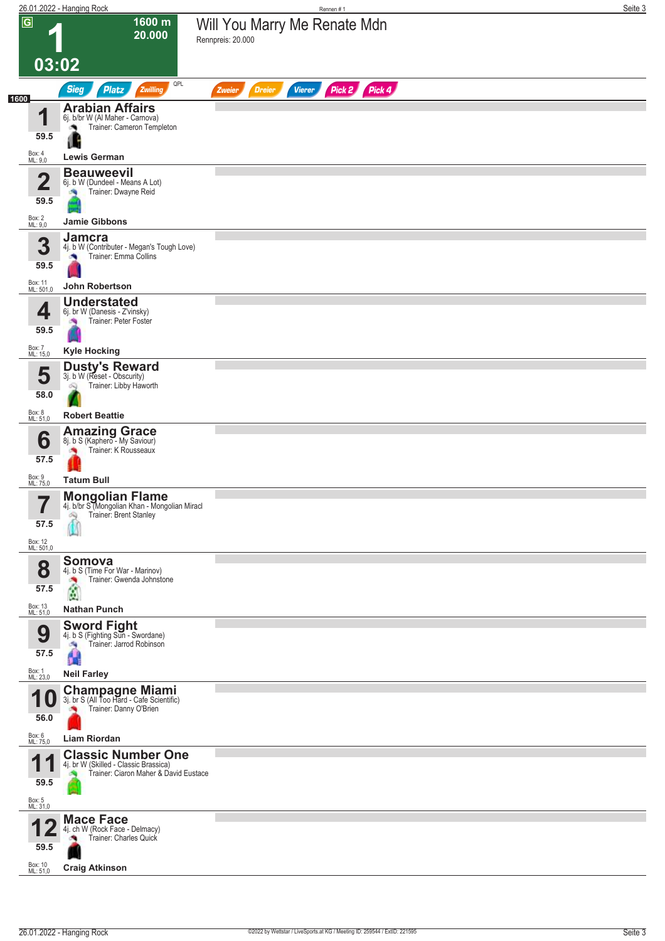|                                                      | 26.01.2022 - Hanging Rock                                                                                                | Rennen#1                                                  | Seite 3 |
|------------------------------------------------------|--------------------------------------------------------------------------------------------------------------------------|-----------------------------------------------------------|---------|
| $\overline{G}$                                       | 1600 m<br>20.000<br>03:02                                                                                                | Will You Marry Me Renate Mdn<br>Rennpreis: 20.000         |         |
| 1600                                                 | QPL<br><b>Sieg</b><br>Zwilling<br><b>Platz</b>                                                                           | Pick 2 Pick 4<br><b>Dreier</b><br><b>Vierer</b><br>Zweier |         |
| 4<br>59.5                                            | <b>Arabian Affairs</b><br>6j. b/br W (Al Maher - Carnova)<br>Trainer: Cameron Templeton<br>۸<br>u<br><b>Lewis German</b> |                                                           |         |
| Box: 4<br>ML: 9,0                                    |                                                                                                                          |                                                           |         |
| $\overline{\mathbf{2}}$<br>59.5<br>Box: 2<br>ML: 9,0 | <b>Beauweevil</b><br>6j. b W (Dundeel - Means A Lot)<br>Trainer: Dwayne Reid<br><b>Jamie Gibbons</b>                     |                                                           |         |
|                                                      |                                                                                                                          |                                                           |         |
| 3<br>59.5<br>Box: 11                                 | <b>Jamcra</b><br>4j. b W (Contributer - Megan's Tough Love)<br>Trainer: Emma Collins                                     |                                                           |         |
| ML: 501,0                                            | John Robertson                                                                                                           |                                                           |         |
| 4<br>59.5<br>Box: 7<br>ML: 15,0                      | <b>Understated</b><br>6j. br W (Danesis - Z'vinsky)<br>Trainer: Peter Foster<br><b>CRI</b><br><b>Kyle Hocking</b>        |                                                           |         |
|                                                      | <b>Dusty's Reward</b>                                                                                                    |                                                           |         |
| 5<br>58.0                                            | 3j. b W (Reset - Obscurity)<br>Trainer: Libby Haworth<br>Q                                                               |                                                           |         |
| Box: 8<br>ML: 51,0                                   | <b>Robert Beattie</b>                                                                                                    |                                                           |         |
| 6<br>57.5<br>Box: 9                                  | <b>Amazing Grace</b><br>8j. b S (Kaphero - My Saviour)<br>Trainer: K Rousseaux                                           |                                                           |         |
| ML: 75,0                                             | <b>Tatum Bull</b>                                                                                                        |                                                           |         |
| —<br>I<br>57.5<br>Box: 12<br>ML: 501,0               | <b>Mongolian Flame</b><br>4j. b/br S (Mongolian Khan - Mongolian Miracl<br>Trainer: Brent Stanley<br>Ó.                  |                                                           |         |
|                                                      | Somova                                                                                                                   |                                                           |         |
| 8<br>57.5<br>Box: 13<br>ML: 51,0                     | 4j. b S (Time For War - Marinov)<br>Trainer: Gwenda Johnstone<br>×<br>$\mathbf{r}$<br><b>Nathan Punch</b>                |                                                           |         |
| 9<br>57.5<br>Box: 1<br>ML: 23,0                      | <b>Sword Fight</b><br>4j. b S (Fighting Sun - Swordane)<br>Trainer: Jarrod Robinson<br>a,<br>Ĥ<br><b>Neil Farley</b>     |                                                           |         |
|                                                      |                                                                                                                          |                                                           |         |
| и<br>56.0                                            | <b>Champagne Miami</b><br>3j. br S (All Too Hard - Cafe Scientific)<br>Trainer: Danny O'Brien                            |                                                           |         |
| Box: 6<br>ML: 75,0                                   | Liam Riordan                                                                                                             |                                                           |         |
| и<br>59.5<br>Box: 5<br>ML: 31,0                      | <b>Classic Number One</b><br>4j. br W (Skilled - Classic Brassica)<br>Trainer: Ciaron Maher & David Eustace              |                                                           |         |
|                                                      | <b>Mace Face</b>                                                                                                         |                                                           |         |
| 59.5                                                 | 4j. ch W (Rock Face - Delmacy)<br>Trainer: Charles Quick                                                                 |                                                           |         |
| Box: 10<br>ML: 51,0                                  | <b>Craig Atkinson</b>                                                                                                    |                                                           |         |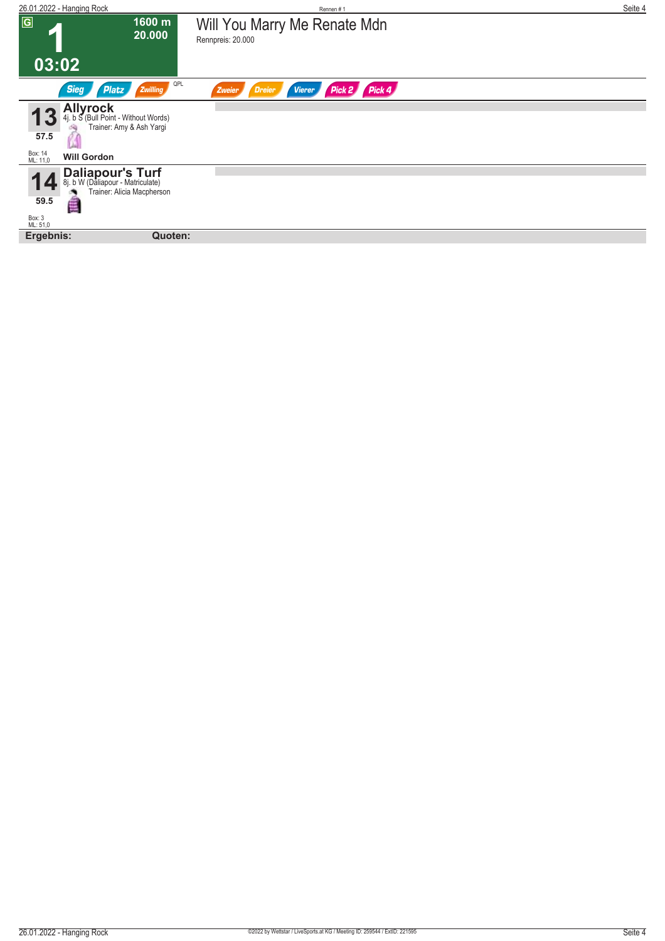| 26.01.2022 - Hanging Rock                                                                                                                | Rennen#1                                              | Seite 4 |
|------------------------------------------------------------------------------------------------------------------------------------------|-------------------------------------------------------|---------|
| $\overline{G}$<br>1600 m<br>20.000                                                                                                       | Will You Marry Me Renate Mdn<br>Rennpreis: 20.000     |         |
| 03:02                                                                                                                                    |                                                       |         |
| QPL<br><b>Sieg</b><br><b>Platz</b><br>Zwilling                                                                                           | Pick 4<br>Pick 2<br><b>Vierer</b><br>Zweier<br>Dreier |         |
| <b>Allyrock</b><br>4j. b S (Bull Point - Without Words)<br>Trainer: Amy & Ash Yargi<br>57.5<br>Box: 14<br>ML: 11,0<br><b>Will Gordon</b> |                                                       |         |
| <b>Daliapour's Turf</b><br>8j. b.W (Daliapour - Matriculate)<br>Trainer: Alicia Macpherson<br>₫<br>59.5                                  |                                                       |         |
| Box: 3<br>ML: 51,0<br>Ergebnis:<br>Quoten:                                                                                               |                                                       |         |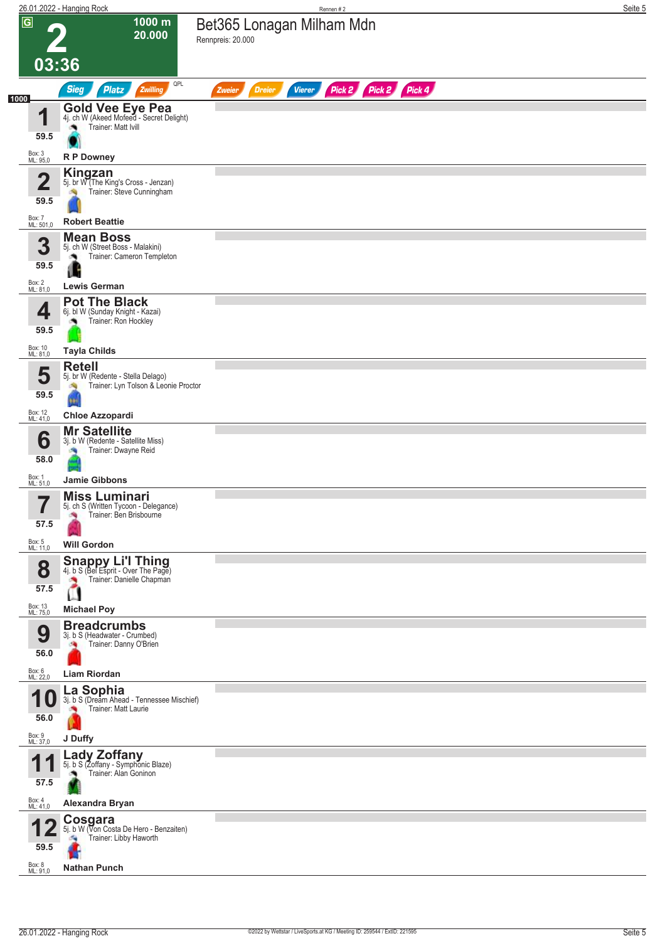|                |                                 | 26.01.2022 - Hanging Rock                                                                                  | Rennen#2                                                         | Seite 5 |
|----------------|---------------------------------|------------------------------------------------------------------------------------------------------------|------------------------------------------------------------------|---------|
| $\overline{G}$ | 03:36                           | 1000 m<br>20.000                                                                                           | Bet365 Lonagan Milham Mdn<br>Rennpreis: 20.000                   |         |
|                |                                 | QPL<br><b>Sieg</b><br><b>Platz</b><br>Zwilling                                                             | Pick 2 Pick 2 Pick 4<br><b>Dreier</b><br><b>Vierer</b><br>Zweier |         |
| 1000           | 4<br>59.5                       | <b>Gold Vee Eye Pea</b><br>4j. ch W (Akeed Mofeed - Secret Delight)<br>Trainer: Matt Ivill<br>۸            |                                                                  |         |
|                | Box: 3<br>ML: 95,0              | R P Downey                                                                                                 |                                                                  |         |
|                | $\overline{\mathbf{2}}$<br>59.5 | <b>Kingzan</b><br>5j. br W (The King's Cross - Jenzan)<br>Trainer: Steve Cunningham                        |                                                                  |         |
|                | Box: 7<br>ML: 501,0             | <b>Robert Beattie</b>                                                                                      |                                                                  |         |
|                | 3<br>59.5<br>Box: 2<br>ML: 81,0 | <b>Mean Boss</b><br>5j. ch W (Street Boss - Malakini)<br>Trainer: Cameron Templeton<br><b>Lewis German</b> |                                                                  |         |
|                |                                 | <b>Pot The Black</b>                                                                                       |                                                                  |         |
|                | 4<br>59.5                       | 6j. bl W (Sunday Knight - Kazai)<br>Trainer: Ron Hockley                                                   |                                                                  |         |
|                | Box: 10<br>ML: 81,0             | <b>Tayla Childs</b>                                                                                        |                                                                  |         |
|                | 5<br>59.5                       | <b>Retell</b><br>5j. br W (Redente - Stella Delago)<br>Trainer: Lyn Tolson & Leonie Proctor                |                                                                  |         |
|                | Box: 12<br>ML: 41,0             | <b>Chloe Azzopardi</b>                                                                                     |                                                                  |         |
|                | 6<br>58.0                       | <b>Mr Satellite</b><br>3j. b W (Redente - Satellite Miss)<br>Trainer: Dwayne Reid<br>阀                     |                                                                  |         |
| Box: 1         | ML: 51,0                        | <b>Jamie Gibbons</b>                                                                                       |                                                                  |         |
|                | ⇁<br>57.5                       | <b>Miss Luminari</b><br>5j. ch S (Written Tycoon - Delegance)<br>Trainer: Ben Brisbourne                   |                                                                  |         |
|                | Box: 5<br>ML: 11,0              | <b>Will Gordon</b>                                                                                         |                                                                  |         |
|                | 8<br>57.5                       | <b>Snappy Li'l Thing</b><br>4j. b S (Bel Esprit - Over The Page)<br>Trainer: Danielle Chapman<br>×,<br>Ш   |                                                                  |         |
|                | Box: 13<br>ML: 75,0             | <b>Michael Poy</b><br><b>Breadcrumbs</b>                                                                   |                                                                  |         |
|                | 9<br>56.0                       | 3j. b S (Headwater - Crumbed)<br>Trainer: Danny O'Brien<br>确                                               |                                                                  |         |
|                | Box: 6<br>ML: 22,0              | <b>Liam Riordan</b>                                                                                        |                                                                  |         |
| и<br>Box: 9    | 56.0                            | La Sophia<br>3j. b S (Dream Ahead - Tennessee Mischief)<br>Trainer: Matt Laurie                            |                                                                  |         |
|                | ML: 37,0                        | J Duffy                                                                                                    |                                                                  |         |
| А              | 57.5                            | <b>Lady Zoffany</b><br>5j. b S (Zoffany - Symphonic Blaze)<br>Trainer: Alan Goninon                        |                                                                  |         |
|                | Box: 4<br>ML: 41,0              | Alexandra Bryan                                                                                            |                                                                  |         |
|                | 59.5<br>Box: 8<br>ML: 91,0      | Cosgara<br>5j. b W (Von Costa De Hero - Benzaiten)<br>Trainer: Libby Haworth<br>a.<br><b>Nathan Punch</b>  |                                                                  |         |
|                |                                 |                                                                                                            |                                                                  |         |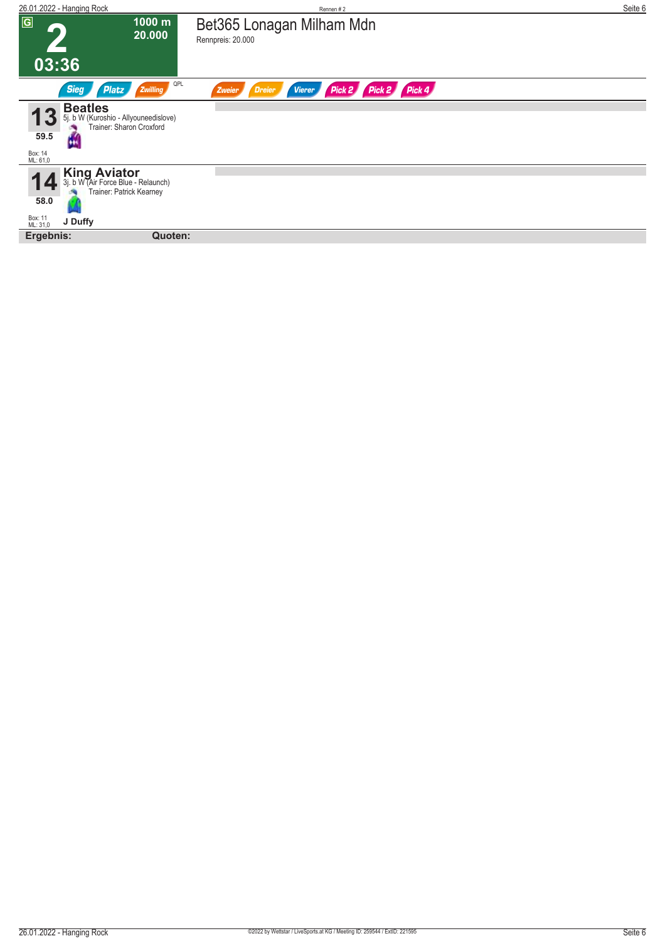| 26.01.2022 - Hanging Rock                                                                                               | Rennen#2                                                        | Seite 6 |
|-------------------------------------------------------------------------------------------------------------------------|-----------------------------------------------------------------|---------|
| $\boxed{G}$<br>1000 m<br>20.000                                                                                         | Bet365 Lonagan Milham Mdn<br>Rennpreis: 20.000                  |         |
| 03:36                                                                                                                   |                                                                 |         |
| QPL<br><b>Sieg</b><br>Platz<br>Zwilling                                                                                 | Pick 4<br>Pick 2<br>Pick 2<br>Dreier<br><b>Vierer</b><br>Zweier |         |
| <b>Beatles</b><br>5j. b W (Kuroshio - Allyouneedislove)<br>Trainer: Sharon Croxford<br>59.5<br>ш<br>Box: 14<br>ML: 61,0 |                                                                 |         |
| <b>King Aviator</b><br>3j. b W (Air Force Blue - Relaunch)<br>Trainer: Patrick Kearney<br>58.0                          |                                                                 |         |
| Box: 11<br>ML: 31,0<br>J Duffy<br>Quoten:                                                                               |                                                                 |         |
| Ergebnis:                                                                                                               |                                                                 |         |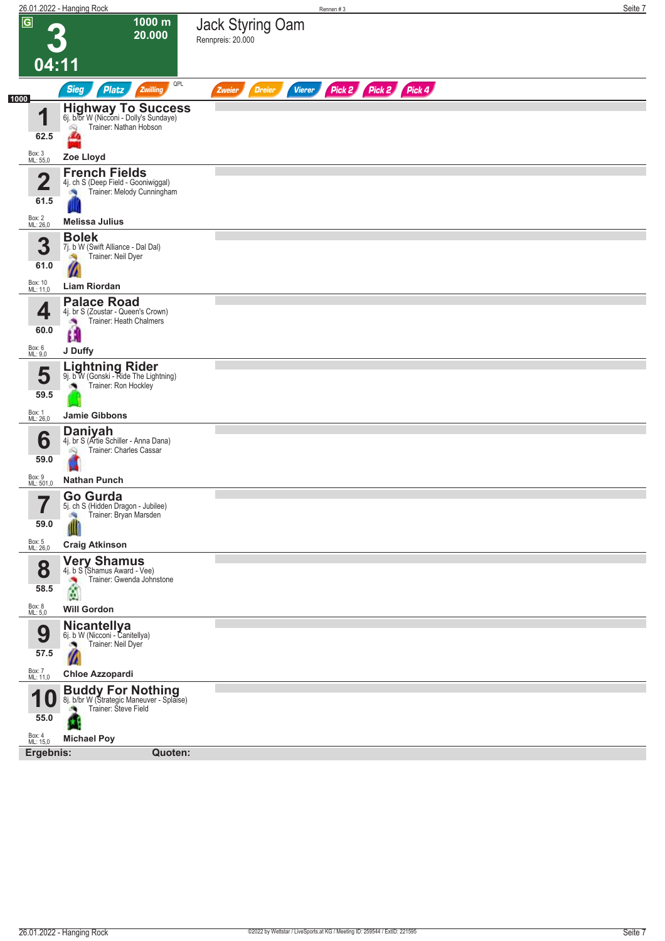|                             | 26.01.2022 - Hanging Rock                                                                           | Seite 7<br>Rennen#3                                              |
|-----------------------------|-----------------------------------------------------------------------------------------------------|------------------------------------------------------------------|
| $\sqrt{G}$                  | 1000 m<br>20.000                                                                                    | Jack Styring Oam<br>Rennpreis: 20.000                            |
| 04:11                       |                                                                                                     |                                                                  |
| 1000                        | QPL<br><b>Sieg</b><br><b>Platz</b><br>Zwilling                                                      | Pick 2 Pick 2 Pick 4<br><b>Vierer</b><br><b>Dreier</b><br>Zweier |
| и                           | <b>Highway To Success</b><br>6j. b/br W (Nicconi - Dolly's Sundaye)                                 |                                                                  |
| 62.5                        | Trainer: Nathan Hobson<br>Q                                                                         |                                                                  |
| Box: 3<br>ML: 55,0          | Zoe Lloyd                                                                                           |                                                                  |
| $\mathbf 2$<br>61.5         | <b>French Fields</b><br>4j. ch S (Deep Field - Gooniwiggal)<br>Trainer: Melody Cunningham           |                                                                  |
| Box: 2<br>ML: 26,0          | <b>Melissa Julius</b>                                                                               |                                                                  |
| 3<br>61.0                   | <b>Bolek</b><br>7j. b W (Swift Alliance - Dal Dal)<br>Trainer: Neil Dyer<br>οŃ,                     |                                                                  |
| Box: 10<br>ML: 11,0         | Liam Riordan                                                                                        |                                                                  |
| 4<br>60.0                   | <b>Palace Road</b><br>4j. br S (Zoustar - Queen's Crown)<br>Trainer: Heath Chalmers                 |                                                                  |
| Box: 6<br>ML: 9,0           | Œ<br>J Duffy                                                                                        |                                                                  |
| 5<br>59.5                   | Lightning Rider<br>9j. b W (Gonski - Ride The Lightning)<br>Trainer: Ron Hockley                    |                                                                  |
| Box: 1<br>ML: 26,0          | Jamie Gibbons                                                                                       |                                                                  |
| 6<br>59.0                   | <b>Daniyah</b><br>4j. br S (Artie Schiller - Anna Dana)<br>Trainer: Charles Cassar                  |                                                                  |
| Box: 9<br>ML: 501,0         | <b>Nathan Punch</b>                                                                                 |                                                                  |
| 7<br>$\blacksquare$<br>59.0 | Go Gurda<br>5j. ch S (Hidden Dragon - Jubilee)<br>Trainer: Bryan Marsden<br>÷,                      |                                                                  |
| Box: 5<br>ML: 26,0          | <b>Craig Atkinson</b>                                                                               |                                                                  |
| 8<br>58.5                   | Very Shamus<br>4j. b S (Shamus Award - Vee)<br>Trainer: Gwenda Johnstone<br>$\frac{1}{2}$           |                                                                  |
| Box: 8<br>ML: 5,0           | <b>Will Gordon</b>                                                                                  |                                                                  |
| 9<br>57.5                   | Nicantellya<br>6j. b W (Nicconi - Canitellya)<br>Trainer: Neil Dyer                                 |                                                                  |
| Box: 7<br>ML: 11,0          | <b>Chloe Azzopardi</b>                                                                              |                                                                  |
| 55.0                        | <b>Buddy For Nothing</b><br>8j. b/br W (Strategic Maneuver - Splaise)<br>Trainer: Steve Field<br>o. |                                                                  |
| Box: 4<br>ML: 15,0          | <b>Michael Poy</b>                                                                                  |                                                                  |
| Ergebnis:                   | Quoten:                                                                                             |                                                                  |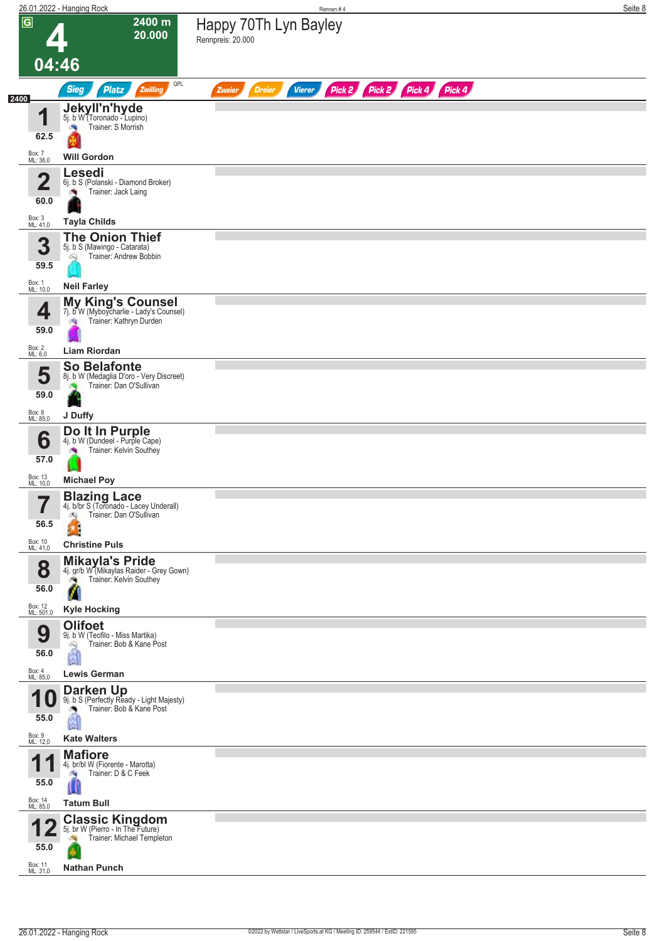|                          | 26.01.2022 - Hanging Rock                                                                           | Rennen#4                                                         | Seite 8 |
|--------------------------|-----------------------------------------------------------------------------------------------------|------------------------------------------------------------------|---------|
| $\overline{G}$           | 2400 m<br>20.000                                                                                    | Happy 70Th Lyn Bayley<br>Rennpreis: 20.000                       |         |
| 04:46                    |                                                                                                     |                                                                  |         |
|                          | QPL<br><b>Sieg</b><br><b>Platz</b><br>Zwilling                                                      | Pick 2 Pick 2 Pick 4 Pick 4<br><b>Dreier</b><br>Vierer<br>Zweier |         |
| 2400<br>И                | Jekyll'n'hyde<br>5j. b W (Toronado - Lupino)                                                        |                                                                  |         |
| ш<br>62.5                | Trainer: S Morrish                                                                                  |                                                                  |         |
| Box: 7<br>ML: 36,0       | <b>Will Gordon</b>                                                                                  |                                                                  |         |
|                          | Lesedi                                                                                              |                                                                  |         |
| $\overline{\mathbf{2}}$  | 6j. b S (Polanski - Diamond Broker)<br>Trainer: Jack Laing                                          |                                                                  |         |
| 60.0                     |                                                                                                     |                                                                  |         |
| Box: 3<br>ML: 41,0       | <b>Tayla Childs</b><br><b>The Onion Thief</b>                                                       |                                                                  |         |
| 3                        | 5j. b S (Mawingo - Catarata)<br>Trainer: Andrew Bobbin<br>oq                                        |                                                                  |         |
| 59.5                     |                                                                                                     |                                                                  |         |
| Box: 1<br>ML: 10,0       | <b>Neil Farley</b>                                                                                  |                                                                  |         |
| 4                        | <b>My King's Counsel</b><br>7j. b W (Myboycharlie - Lady's Counsel)<br>Trainer: Kathryn Durden<br>肉 |                                                                  |         |
| 59.0                     |                                                                                                     |                                                                  |         |
| Box: 2<br>ML: 6,0        | Liam Riordan                                                                                        |                                                                  |         |
| 5                        | <b>So Belafonte</b><br>8j. b W (Medaglia D'oro - Very Discreet)                                     |                                                                  |         |
| 59.0                     | Trainer: Dan O'Sullivan                                                                             |                                                                  |         |
| Box: 8<br>ML: 85,0       | J Duffy                                                                                             |                                                                  |         |
| 6                        | Do It In Purple<br>4j. b W (Dundeel - Purple Cape)                                                  |                                                                  |         |
| 57.0                     | Trainer: Kelvin Southey                                                                             |                                                                  |         |
| Box: 13<br>ML: 10,0      | <b>Michael Poy</b>                                                                                  |                                                                  |         |
| $\overline{\phantom{a}}$ | <b>Blazing Lace</b><br>4j. b/br S (Toronado - Lacey Underall)                                       |                                                                  |         |
| 56.5                     | Trainer: Dan O'Sullivan<br>dQ.                                                                      |                                                                  |         |
| Box: 10                  | <b>Christine Puls</b>                                                                               |                                                                  |         |
| ML: 41,0                 | <b>Mikayla's Pride</b>                                                                              |                                                                  |         |
| 8                        | 4j. gr/b W (Mikaylas Raider - Grey Gown)<br>Trainer: Kelvin Southey                                 |                                                                  |         |
| 56.0                     | И                                                                                                   |                                                                  |         |
| Box: 12<br>ML: 501,0     | <b>Kyle Hocking</b><br><b>Olifoet</b>                                                               |                                                                  |         |
| 9                        | 9j. b W (Teofilo - Miss Martika)<br>Trainer: Bob & Kane Post                                        |                                                                  |         |
| 56.0                     |                                                                                                     |                                                                  |         |
| Box: 4<br>ML: 85,0       | <b>Lewis German</b>                                                                                 |                                                                  |         |
| U                        | <b>Darken Up</b><br>9j. b S (Perfectly Ready - Light Majesty)<br>Trainer: Bob & Kane Post           |                                                                  |         |
| 55.0                     |                                                                                                     |                                                                  |         |
| Box: 9<br>ML: 12,0       | <b>Kate Walters</b>                                                                                 |                                                                  |         |
| И<br>и                   | <b>Mafiore</b><br>4j. br/bl W (Fiorente - Marotta)                                                  |                                                                  |         |
| 55.0                     | Trainer: D & C Feek<br>69                                                                           |                                                                  |         |
| Box: 14<br>ML: 85,0      | <b>Tatum Bull</b>                                                                                   |                                                                  |         |
|                          | <b>Classic Kingdom</b><br>5j. br W (Pierro - In The Future)                                         |                                                                  |         |
| 55.0                     | Trainer: Michael Templeton                                                                          |                                                                  |         |
| Box: 11<br>ML: 31,0      | <b>Nathan Punch</b>                                                                                 |                                                                  |         |
|                          |                                                                                                     |                                                                  |         |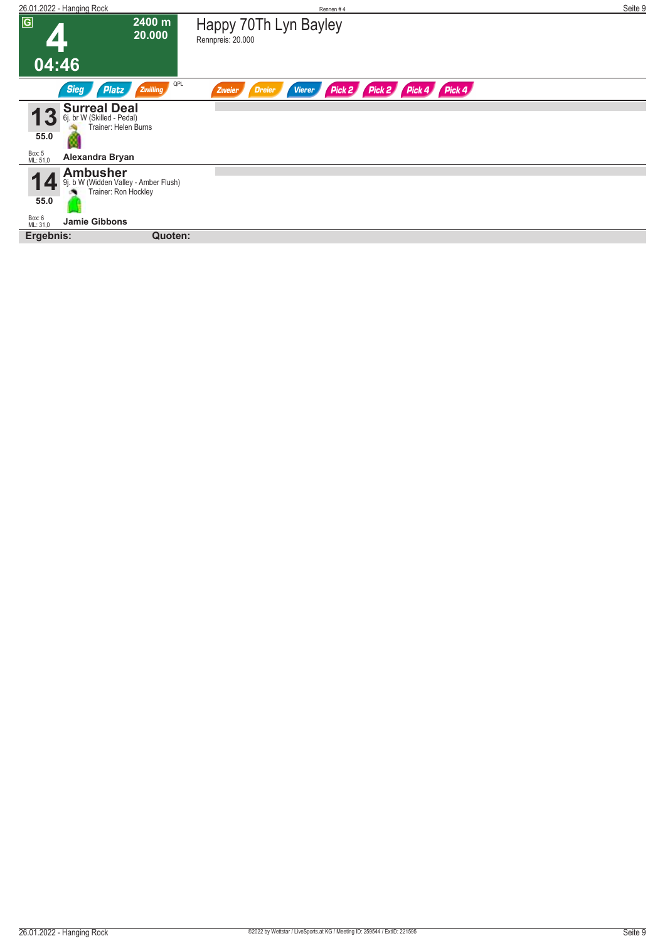| 26.01.2022 - Hanging Rock                                                                   | Rennen#4                                                         | Seite 9 |
|---------------------------------------------------------------------------------------------|------------------------------------------------------------------|---------|
| $\overline{G}$<br>2400 m<br>20.000                                                          | Happy 70Th Lyn Bayley<br>Rennpreis: 20.000                       |         |
| 04:46                                                                                       |                                                                  |         |
| QPL<br><b>Sieg</b><br>Platz<br>Zwilling                                                     | Pick 2 Pick 2 Pick 4 Pick 4<br><b>Vierer</b><br>Dreier<br>Zweier |         |
| <b>Surreal Deal</b><br>6j. br W (Skilled - Pedal)<br>Trainer: Helen Burns<br>55.0           |                                                                  |         |
| Box: 5<br>ML: 51,0<br>Alexandra Bryan                                                       |                                                                  |         |
| <b>Ambusher</b><br>b W (Widden Valley - Amber Flush)<br>9i.<br>Trainer: Ron Hockley<br>55.0 |                                                                  |         |
| Box: 6<br>ML: 31,0<br><b>Jamie Gibbons</b>                                                  |                                                                  |         |
| Ergebnis:<br>Quoten:                                                                        |                                                                  |         |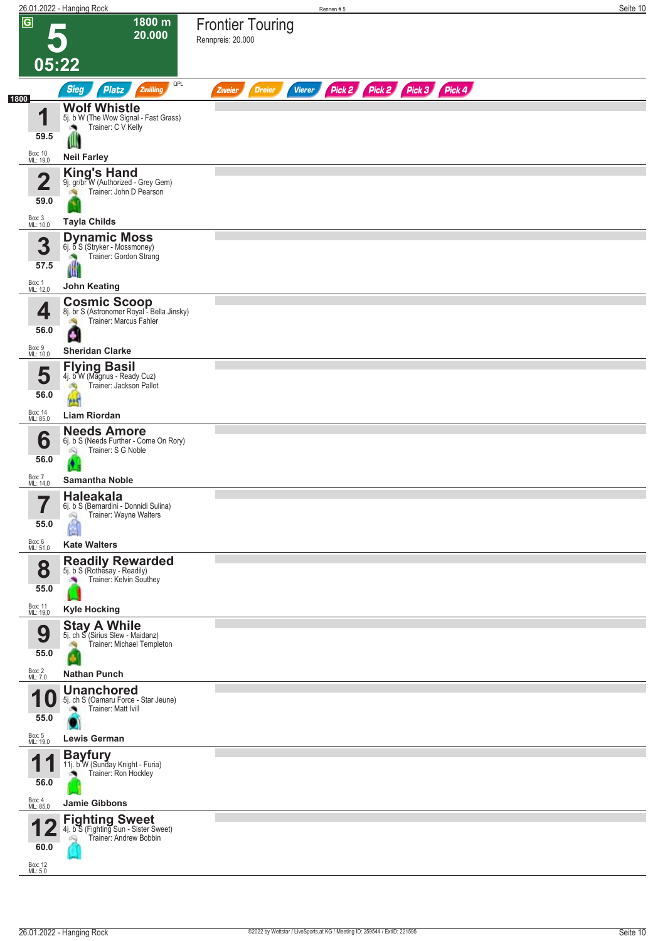|                            | 26.01.2022 - Hanging Rock                                                                       | Rennen#5                                                                | Seite 10 |
|----------------------------|-------------------------------------------------------------------------------------------------|-------------------------------------------------------------------------|----------|
| $\overline{G}$             | 1800 m<br>20.000<br>05:22                                                                       | <b>Frontier Touring</b><br>Rennpreis: 20.000                            |          |
|                            | QPL<br><b>Sieg</b><br><b>Platz</b><br>Zwilling                                                  | Pick 2 Pick 2 Pick 3 Pick 4<br><b>Dreier</b><br><b>Vierer</b><br>Zweier |          |
| 1800                       | <b>Wolf Whistle</b>                                                                             |                                                                         |          |
| И<br>59.5                  | 5j. b W (The Wow Signal - Fast Grass)<br>Trainer: C V Kelly<br>۸<br>t                           |                                                                         |          |
| Box: 10<br>ML: 19,0        | <b>Neil Farley</b>                                                                              |                                                                         |          |
| $\mathbf 2$<br>59.0        | <b>King's Hand</b><br><sup>9j. gr/br W (Authorized - Grey Gem)</sup><br>Trainer: John D Pearson |                                                                         |          |
| Box: 3<br>ML: 10,0         | <b>Tayla Childs</b>                                                                             |                                                                         |          |
| 3                          | <b>Dynamic Moss</b><br>6j. b S (Stryker - Mossmoney)<br>Trainer: Gordon Strang                  |                                                                         |          |
| 57.5<br>Box: 1<br>ML: 12,0 | W<br><b>John Keating</b>                                                                        |                                                                         |          |
| 4<br>56.0                  | <b>Cosmic Scoop</b><br>8j. br S (Astronomer Royal - Bella Jinsky)<br>Trainer: Marcus Fahler     |                                                                         |          |
|                            |                                                                                                 |                                                                         |          |
| Box: 9<br>ML: 10,0<br>5    | <b>Sheridan Clarke</b><br><b>Flying Basil</b><br>4j. b <sup>-</sup> W (Magnus - Ready Cuz)      |                                                                         |          |
| 56.0                       | Trainer: Jackson Pallot                                                                         |                                                                         |          |
| Box: 14<br>ML: 85,0        | W#4<br><b>Liam Riordan</b>                                                                      |                                                                         |          |
| 6<br>56.0                  | <b>Needs Amore</b><br>6j. b S (Needs Further - Come On Rory)<br>Trainer: S G Noble<br>Q         |                                                                         |          |
| Box: 7                     | <b>Samantha Noble</b>                                                                           |                                                                         |          |
| ML: 14,0                   | <b>Haleakala</b>                                                                                |                                                                         |          |
| 55.0                       | 6j. b S (Bernardini - Donnidi Sulina)<br>Trainer: Wayne Walters<br>Q                            |                                                                         |          |
| Box: 6<br>ML: 51,0         | <b>Kate Walters</b>                                                                             |                                                                         |          |
| 8<br>55.0                  | <b>Readily Rewarded</b><br>5j. b S (Rothesay - Readily)<br>Trainer: Kelvin Southey<br>×         |                                                                         |          |
| Box: 11<br>ML: 19,0        | <b>Kyle Hocking</b>                                                                             |                                                                         |          |
| 9<br>55.0                  | <b>Stay A While</b><br>5j. ch S (Sirius Slew - Maidanz)<br>Trainer: Michael Templeton           |                                                                         |          |
| Box: 2<br>ML: 7,0          | <b>Nathan Punch</b>                                                                             |                                                                         |          |
| U<br>55.0                  | <b>Unanchored</b><br>5j. ch S (Oamaru Force - Star Jeune)<br>Trainer: Matt Ivill                |                                                                         |          |
| Box: 5<br>ML: 19,0         | <b>Lewis German</b>                                                                             |                                                                         |          |
| И<br>56.0                  | <b>Bayfury</b><br>11j. b W (Sunday Knight - Furia)<br>Trainer: Ron Hockley                      |                                                                         |          |
| Box: 4<br>ML: 85,0         | <b>Jamie Gibbons</b>                                                                            |                                                                         |          |
| 60.0                       | <b>Fighting Sweet</b><br>4j. b S (Fighting Sun - Sister Sweet)<br>Trainer: Andrew Bobbin        |                                                                         |          |
| Box: 12<br>ML: 5,0         |                                                                                                 |                                                                         |          |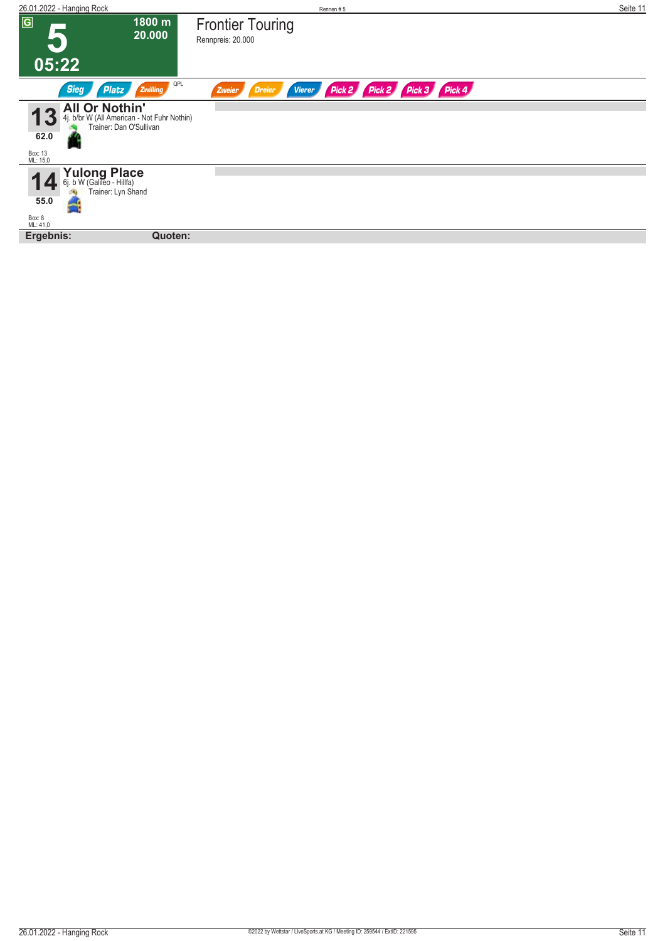| 26.01.2022 - Hanging Rock                                 |                                                                        | Rennen#5                                                            | Seite 11 |
|-----------------------------------------------------------|------------------------------------------------------------------------|---------------------------------------------------------------------|----------|
| $\overline{G}$                                            | 1800 m<br>20.000                                                       | <b>Frontier Touring</b><br>Rennpreis: 20.000                        |          |
| 05:22                                                     |                                                                        |                                                                     |          |
| <b>Sieg</b><br>Platz                                      | QPL<br>Zwilling                                                        | Pick 2 Pick 3 Pick 4<br>Pick 2<br><b>Vierer</b><br>Dreier<br>Zweier |          |
| <b>All Or Nothin'</b><br>62.0<br>Box: 13<br>ML: 15,0      | 4j. b/br W (All American - Not Fuhr Nothin)<br>Trainer: Dan O'Sullivan |                                                                     |          |
| Yulong Place<br>6j. b W (Galileo - Hillfa)<br>6i.<br>55.0 | Trainer: Lyn Shand                                                     |                                                                     |          |
| Box: 8<br>ML: 41,0                                        |                                                                        |                                                                     |          |
| Ergebnis:                                                 | Quoten:                                                                |                                                                     |          |
|                                                           |                                                                        |                                                                     |          |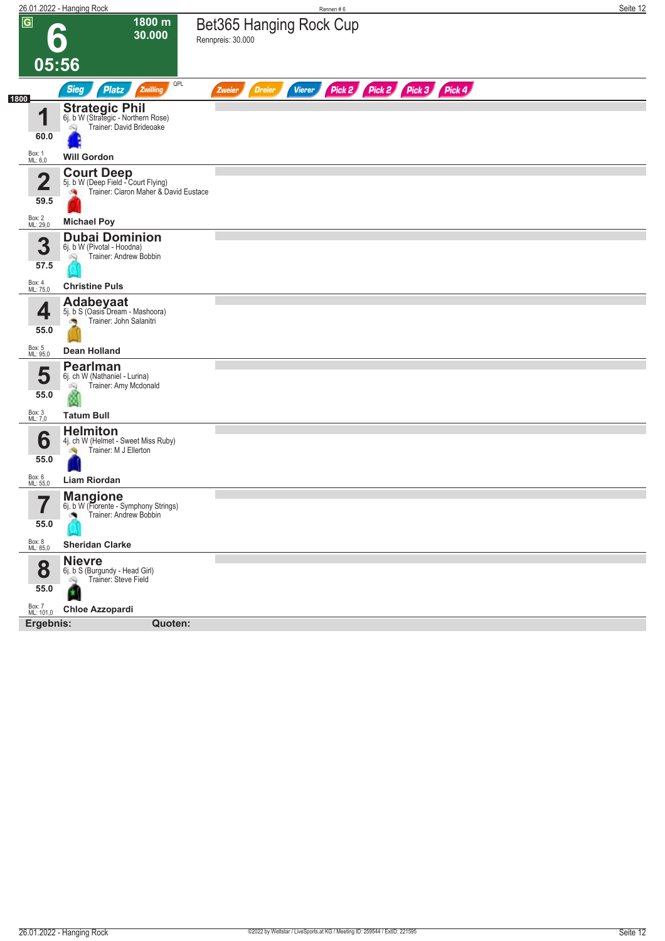|                             | 26.01.2022 - Hanging Rock                                                                       | Rennen#6                                                                | Seite 12 |
|-----------------------------|-------------------------------------------------------------------------------------------------|-------------------------------------------------------------------------|----------|
| $\overline{G}$              | 1800 m<br>30.000                                                                                | Bet365 Hanging Rock Cup<br>Rennpreis: 30.000                            |          |
| 05:56                       |                                                                                                 |                                                                         |          |
| 1800                        | QPL<br>Platz<br><b>Sieg</b><br>Zwilling                                                         | Pick 2 Pick 2 Pick 3 Pick 4<br><b>Dreier</b><br><b>Vierer</b><br>Zweier |          |
| 1                           | <b>Strategic Phil</b><br>6j. b W (Strategic - Northern Rose)<br>Trainer: David Brideoake<br>óQ  |                                                                         |          |
| 60.0                        |                                                                                                 |                                                                         |          |
| Box: 1<br>ML: 6,0           | <b>Will Gordon</b><br><b>Court Deep</b>                                                         |                                                                         |          |
| 2<br>59.5                   | 5j. b W (Deep Field - Court Flying)<br>Trainer: Ciaron Maher & David Eustace<br>鸿               |                                                                         |          |
| Box: 2<br>ML: 29,0          | <b>Michael Poy</b>                                                                              |                                                                         |          |
| 3<br>57.5                   | <b>Dubai Dominion</b><br>6j. b W (Pivotal - Hoodna)<br>Trainer: Andrew Bobbin<br>Q              |                                                                         |          |
| Box: 4<br>ML: 75,0          | <b>Christine Puls</b>                                                                           |                                                                         |          |
| 4<br>55.0                   | Adabeyaat<br>5j. b S (Oasis Dream - Mashoora)<br>Trainer: John Salanitri                        |                                                                         |          |
| Box: 5<br>ML: 95,0          | <b>Dean Holland</b>                                                                             |                                                                         |          |
| 5<br>55.0                   | <b>Pearlman</b><br>6j. ch W (Nathaniel - Lurina)<br>Trainer: Amy Mcdonald                       |                                                                         |          |
| Box: 3<br>ML: 7,0           | <b>Tatum Bull</b>                                                                               |                                                                         |          |
| 6<br>55.0                   | <b>Helmiton</b><br>4j. ch W (Helmet - Sweet Miss Ruby)<br>Trainer: M J Ellerton                 |                                                                         |          |
| Box: 6<br>ML: 55,0          | <b>Liam Riordan</b>                                                                             |                                                                         |          |
| 7<br>$\blacksquare$<br>55.0 | <b>Mangione</b><br>6j. b W (Fiorente - Symphony Strings)<br>Trainer: Andrew Bobbin<br>$\bullet$ |                                                                         |          |
| Box: 8<br>ML: 85,0          | <b>Sheridan Clarke</b>                                                                          |                                                                         |          |
| 8<br>55.0                   | <b>Nievre</b><br>6j. b S (Burgundy - Head Girl)<br>Trainer: Steve Field<br>Q<br>H               |                                                                         |          |
| Box: 7<br>ML: 101,0         | <b>Chloe Azzopardi</b>                                                                          |                                                                         |          |
| Ergebnis:                   | Quoten:                                                                                         |                                                                         |          |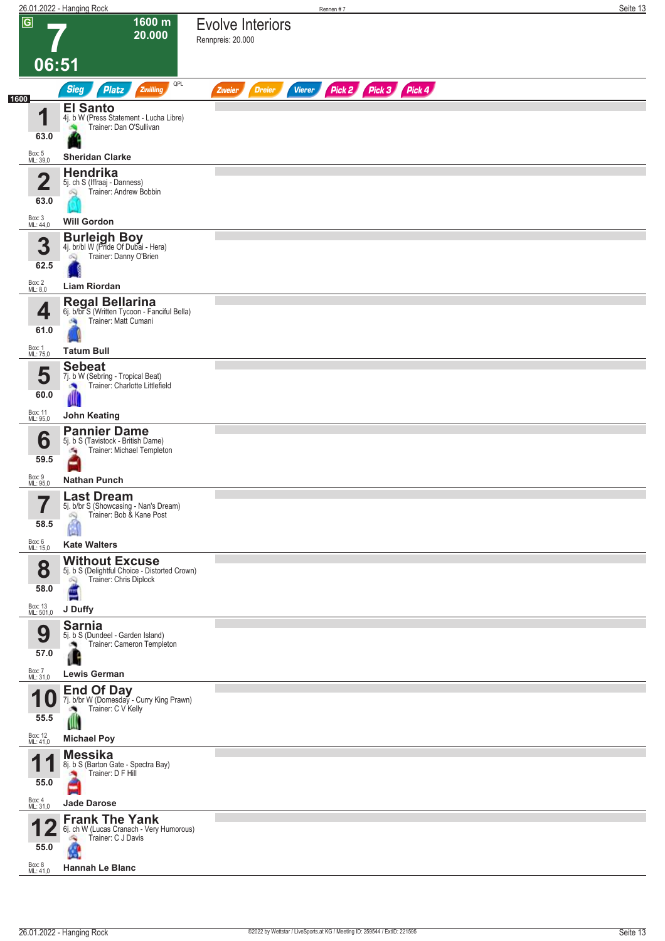|      |                                   | 26.01.2022 - Hanging Rock                                                                                             | Rennen #7                                                        | Seite 13 |
|------|-----------------------------------|-----------------------------------------------------------------------------------------------------------------------|------------------------------------------------------------------|----------|
|      | $\overline{G}$<br>06:51           | 1600 m<br>20.000                                                                                                      | <b>Evolve Interiors</b><br>Rennpreis: 20.000                     |          |
|      |                                   | QPL<br><b>Sieg</b><br><b>Platz</b><br>Zwilling                                                                        | Pick 2 Pick 3 Pick 4<br><b>Vierer</b><br><b>Dreier</b><br>Zweier |          |
| 1600 |                                   |                                                                                                                       |                                                                  |          |
|      | И<br>63.0                         | <b>El Santo</b><br>4j. b W (Press Statement - Lucha Libre)<br>Trainer: Dan O'Sullivan                                 |                                                                  |          |
|      | Box: 5<br>ML: 39,0                | <b>Sheridan Clarke</b>                                                                                                |                                                                  |          |
|      | $\overline{\mathbf{2}}$<br>63.0   | Hendrika<br>5j. ch S (Iffraaj - Danness)<br>Trainer: Andrew Bobbin                                                    |                                                                  |          |
|      | Box: 3<br>ML: 44,0                | <b>Will Gordon</b>                                                                                                    |                                                                  |          |
|      | 3<br>62.5                         | <b>Burleigh Boy</b><br>4j. br/bl W (Pride Of Dubai - Hera)<br>Trainer: Danny O'Brien<br>ôQ                            |                                                                  |          |
|      | Box: 2<br>ML: 8,0                 | <b>Liam Riordan</b>                                                                                                   |                                                                  |          |
|      | 4<br>61.0                         | Regal Bellarina<br>6j. b/br S (Written Tycoon - Fanciful Bella)<br>Trainer: Matt Cumani                               |                                                                  |          |
|      | Box: 1<br>ML: 75,0                | <b>Tatum Bull</b>                                                                                                     |                                                                  |          |
|      | 5<br>60.0                         | <b>Sebeat</b><br>7j. b W (Sebring - Tropical Beat)<br>Trainer: Charlotte Littlefield<br>Ш                             |                                                                  |          |
|      | Box: 11<br>ML: 95,0               | <b>John Keating</b>                                                                                                   |                                                                  |          |
|      | 6<br>59.5                         | <b>Pannier Dame</b><br>5j. b S (Tavistock - British Dame)<br>Trainer: Michael Templeton<br>÷,                         |                                                                  |          |
|      | Box: 9                            | <b>Nathan Punch</b>                                                                                                   |                                                                  |          |
|      | ML: 95,0<br>━<br>58.5             | <b>Last Dream</b><br>5j. b/br S (Showcasing - Nan's Dream)<br>Trainer: Bob & Kane Post<br>Ñ                           |                                                                  |          |
|      | Box: 6                            |                                                                                                                       |                                                                  |          |
|      | ML: 15,0                          | <b>Kate Walters</b>                                                                                                   |                                                                  |          |
|      | 8<br>58.0<br>Box: 13<br>ML: 501,0 | <b>Without Excuse</b><br>5j. b S (Delightful Choice - Distorted Crown)<br>Trainer: Chris Diplock<br>闷<br>E<br>J Duffy |                                                                  |          |
|      |                                   | <b>Sarnia</b>                                                                                                         |                                                                  |          |
|      | 9<br>57.0                         | 5j. b S (Dundeel - Garden Island)<br>Trainer: Cameron Templeton<br>л.                                                 |                                                                  |          |
|      | Box: 7<br>ML: 31,0                | <b>Lewis German</b>                                                                                                   |                                                                  |          |
|      | 1<br>U<br>55.5                    | <b>End Of Day</b><br>7j. b/br W (Domesday - Curry King Prawn)<br>Trainer: C V Kelly<br>Ш                              |                                                                  |          |
|      | Box: 12<br>ML: 41,0               | <b>Michael Poy</b>                                                                                                    |                                                                  |          |
|      | 1<br>55.0                         | <b>Messika</b><br>8j. b S (Barton Gate - Spectra Bay)<br>Trainer: D F Hill                                            |                                                                  |          |
|      | Box: 4<br>ML: 31,0                | <b>Jade Darose</b>                                                                                                    |                                                                  |          |
|      | 55.0<br>Box: 8<br>ML: 41,0        | <b>Frank The Yank</b><br>6j. ch W (Lucas Cranach - Very Humorous)<br>Trainer: C J Davis<br><b>Hannah Le Blanc</b>     |                                                                  |          |
|      |                                   |                                                                                                                       |                                                                  |          |